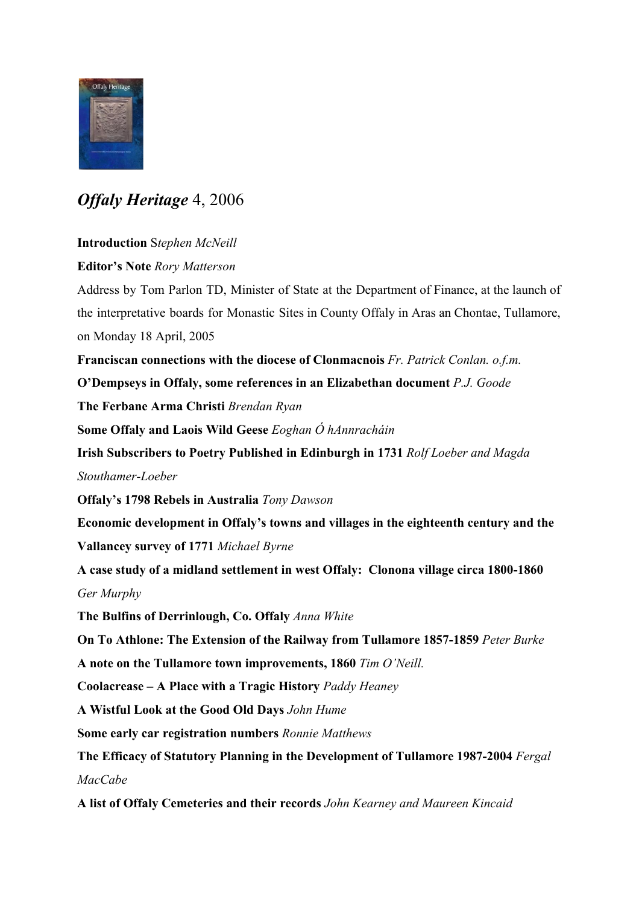

## *Offaly Heritage* 4, 2006

## **Introduction** S*tephen McNeill*

**Editor's Note** *Rory Matterson*

Address by Tom Parlon TD, Minister of State at the Department of Finance, at the launch of the interpretative boards for Monastic Sites in County Offaly in Aras an Chontae, Tullamore, on Monday 18 April, 2005

**Franciscan connections with the diocese of Clonmacnois** *Fr. Patrick Conlan. o.f.m.*

**O'Dempseys in Offaly, some references in an Elizabethan document** *P.J. Goode*

**The Ferbane Arma Christi** *Brendan Ryan*

**Some Offaly and Laois Wild Geese** *Eoghan Ó hAnnracháin*

**Irish Subscribers to Poetry Published in Edinburgh in 1731** *Rolf Loeber and Magda*

*Stouthamer-Loeber*

**Offaly's 1798 Rebels in Australia** *Tony Dawson*

**Economic development in Offaly's towns and villages in the eighteenth century and the Vallancey survey of 1771** *Michael Byrne*

**A case study of a midland settlement in west Offaly: Clonona village circa 1800-1860** *Ger Murphy*

**The Bulfins of Derrinlough, Co. Offaly** *Anna White*

**On To Athlone: The Extension of the Railway from Tullamore 1857-1859** *Peter Burke*

**A note on the Tullamore town improvements, 1860** *Tim O'Neill.*

**Coolacrease – A Place with a Tragic History** *Paddy Heaney*

**A Wistful Look at the Good Old Days** *John Hume*

**Some early car registration numbers** *Ronnie Matthews*

**The Efficacy of Statutory Planning in the Development of Tullamore 1987-2004** *Fergal MacCabe*

**A list of Offaly Cemeteries and their records** *John Kearney and Maureen Kincaid*